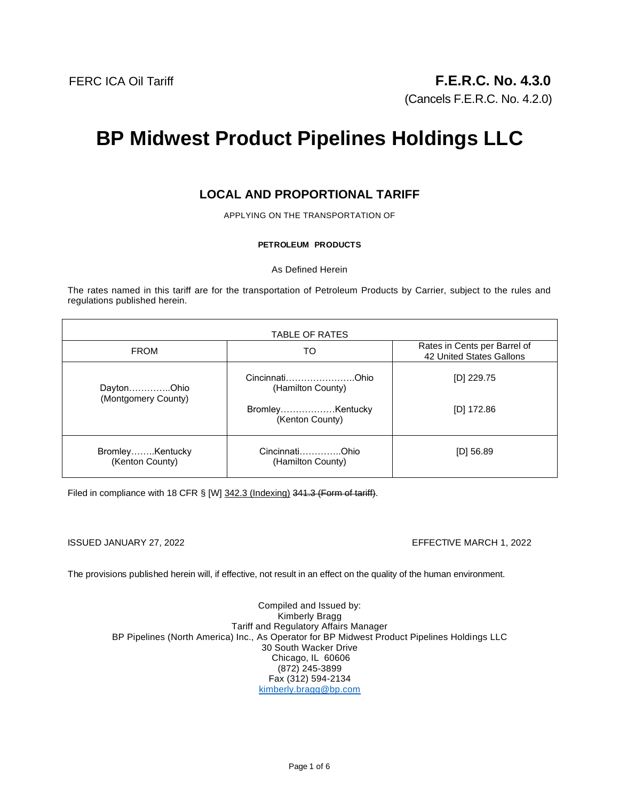# **BP Midwest Product Pipelines Holdings LLC**

## **LOCAL AND PROPORTIONAL TARIFF**

APPLYING ON THE TRANSPORTATION OF

#### **PETROLEUM PRODUCTS**

As Defined Herein

The rates named in this tariff are for the transportation of Petroleum Products by Carrier, subject to the rules and regulations published herein.

| <b>TABLE OF RATES</b>              |                                     |                                                          |
|------------------------------------|-------------------------------------|----------------------------------------------------------|
| <b>FROM</b>                        | TO                                  | Rates in Cents per Barrel of<br>42 United States Gallons |
| DaytonOhio<br>(Montgomery County)  | CincinnatiOhio<br>(Hamilton County) | [D] $229.75$                                             |
|                                    | BromleyKentucky<br>(Kenton County)  | $[D]$ 172.86                                             |
| BromleyKentucky<br>(Kenton County) | CincinnatiOhio<br>(Hamilton County) | $[D]$ 56.89                                              |

Filed in compliance with 18 CFR § [W] 342.3 (Indexing) 341.3 (Form of tariff).

#### ISSUED JANUARY 27, 2022 EFFECTIVE MARCH 1, 2022

The provisions published herein will, if effective, not result in an effect on the quality of the human environment.

Compiled and Issued by: Kimberly Bragg Tariff and Regulatory Affairs Manager BP Pipelines (North America) Inc., As Operator for BP Midwest Product Pipelines Holdings LLC 30 South Wacker Drive Chicago, IL 60606 (872) 245-3899 Fax (312) 594-2134 kimberly.bragg@bp.com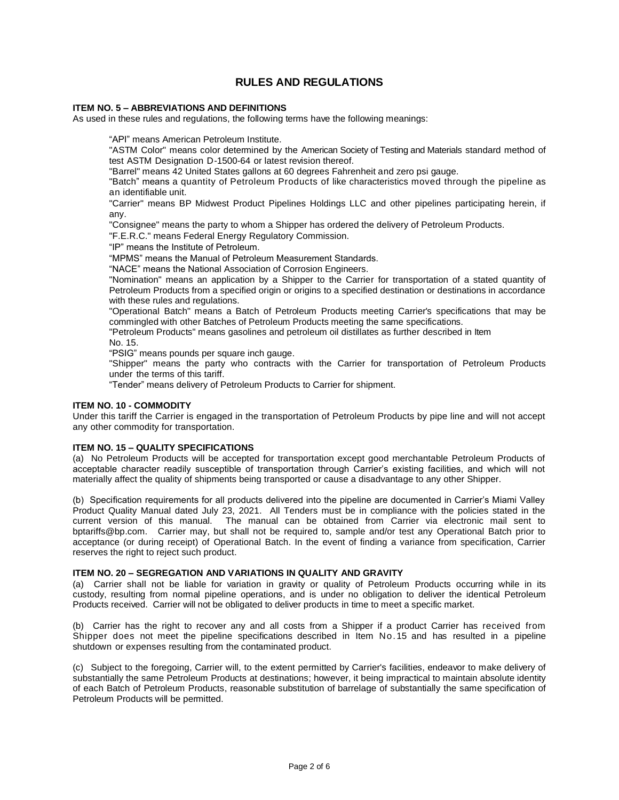### **RULES AND REGULATIONS**

#### **ITEM NO. 5 – ABBREVIATIONS AND DEFINITIONS**

As used in these rules and regulations, the following terms have the following meanings:

"API" means American Petroleum Institute.

"ASTM Color" means color determined by the American Society of Testing and Materials standard method of test ASTM Designation D-1500-64 or latest revision thereof.

"Barrel" means 42 United States gallons at 60 degrees Fahrenheit and zero psi gauge.

"Batch" means a quantity of Petroleum Products of like characteristics moved through the pipeline as an identifiable unit.

"Carrier" means BP Midwest Product Pipelines Holdings LLC and other pipelines participating herein, if any.

"Consignee" means the party to whom a Shipper has ordered the delivery of Petroleum Products.

"F.E.R.C." means Federal Energy Regulatory Commission.

"IP" means the Institute of Petroleum.

"MPMS" means the Manual of Petroleum Measurement Standards.

"NACE" means the National Association of Corrosion Engineers.

"Nomination" means an application by a Shipper to the Carrier for transportation of a stated quantity of Petroleum Products from a specified origin or origins to a specified destination or destinations in accordance with these rules and regulations.

"Operational Batch" means a Batch of Petroleum Products meeting Carrier's specifications that may be commingled with other Batches of Petroleum Products meeting the same specifications.

"Petroleum Products" means gasolines and petroleum oil distillates as further described in Item

No. 15.

"PSIG" means pounds per square inch gauge.

"Shipper" means the party who contracts with the Carrier for transportation of Petroleum Products under the terms of this tariff.

"Tender" means delivery of Petroleum Products to Carrier for shipment.

#### **ITEM NO. 10 - COMMODITY**

Under this tariff the Carrier is engaged in the transportation of Petroleum Products by pipe line and will not accept any other commodity for transportation.

#### **ITEM NO. 15 – QUALITY SPECIFICATIONS**

(a) No Petroleum Products will be accepted for transportation except good merchantable Petroleum Products of acceptable character readily susceptible of transportation through Carrier's existing facilities, and which will not materially affect the quality of shipments being transported or cause a disadvantage to any other Shipper.

(b) Specification requirements for all products delivered into the pipeline are documented in Carrier's Miami Valley Product Quality Manual dated July 23, 2021. All Tenders must be in compliance with the policies stated in the current version of this manual. The manual can be obtained from Carrier via electronic mail sent to bptariffs@bp.com. Carrier may, but shall not be required to, sample and/or test any Operational Batch prior to acceptance (or during receipt) of Operational Batch. In the event of finding a variance from specification, Carrier reserves the right to reject such product.

#### **ITEM NO. 20 – SEGREGATION AND VARIATIONS IN QUALITY AND GRAVITY**

(a) Carrier shall not be liable for variation in gravity or quality of Petroleum Products occurring while in its custody, resulting from normal pipeline operations, and is under no obligation to deliver the identical Petroleum Products received. Carrier will not be obligated to deliver products in time to meet a specific market.

(b) Carrier has the right to recover any and all costs from a Shipper if a product Carrier has received from Shipper does not meet the pipeline specifications described in Item No.15 and has resulted in a pipeline shutdown or expenses resulting from the contaminated product.

(c) Subject to the foregoing, Carrier will, to the extent permitted by Carrier's facilities, endeavor to make delivery of substantially the same Petroleum Products at destinations; however, it being impractical to maintain absolute identity of each Batch of Petroleum Products, reasonable substitution of barrelage of substantially the same specification of Petroleum Products will be permitted.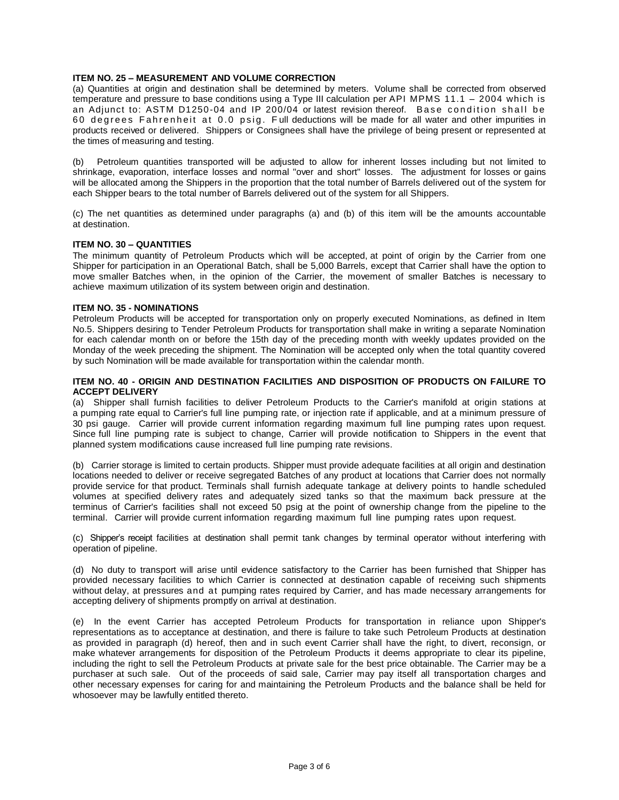#### **ITEM NO. 25 – MEASUREMENT AND VOLUME CORRECTION**

(a) Quantities at origin and destination shall be determined by meters. Volume shall be corrected from observed temperature and pressure to base conditions using a Type III calculation per API MPMS 11.1 – 2004 which is an Adjunct to: ASTM D1250-04 and IP 200/04 or latest revision thereof. Base condition shall be 60 degrees Fahrenheit at 0.0 psig. Full deductions will be made for all water and other impurities in products received or delivered. Shippers or Consignees shall have the privilege of being present or represented at the times of measuring and testing.

(b) Petroleum quantities transported will be adjusted to allow for inherent losses including but not limited to shrinkage, evaporation, interface losses and normal "over and short" losses. The adjustment for losses or gains will be allocated among the Shippers in the proportion that the total number of Barrels delivered out of the system for each Shipper bears to the total number of Barrels delivered out of the system for all Shippers.

(c) The net quantities as determined under paragraphs (a) and (b) of this item will be the amounts accountable at destination.

#### **ITEM NO. 30 – QUANTITIES**

The minimum quantity of Petroleum Products which will be accepted, at point of origin by the Carrier from one Shipper for participation in an Operational Batch, shall be 5,000 Barrels, except that Carrier shall have the option to move smaller Batches when, in the opinion of the Carrier, the movement of smaller Batches is necessary to achieve maximum utilization of its system between origin and destination.

#### **ITEM NO. 35 - NOMINATIONS**

Petroleum Products will be accepted for transportation only on properly executed Nominations, as defined in Item No.5. Shippers desiring to Tender Petroleum Products for transportation shall make in writing a separate Nomination for each calendar month on or before the 15th day of the preceding month with weekly updates provided on the Monday of the week preceding the shipment. The Nomination will be accepted only when the total quantity covered by such Nomination will be made available for transportation within the calendar month.

#### **ITEM NO. 40 - ORIGIN AND DESTINATION FACILITIES AND DISPOSITION OF PRODUCTS ON FAILURE TO ACCEPT DELIVERY**

(a) Shipper shall furnish facilities to deliver Petroleum Products to the Carrier's manifold at origin stations at a pumping rate equal to Carrier's full line pumping rate, or injection rate if applicable, and at a minimum pressure of 30 psi gauge. Carrier will provide current information regarding maximum full line pumping rates upon request. Since full line pumping rate is subject to change, Carrier will provide notification to Shippers in the event that planned system modifications cause increased full line pumping rate revisions.

(b) Carrier storage is limited to certain products. Shipper must provide adequate facilities at all origin and destination locations needed to deliver or receive segregated Batches of any product at locations that Carrier does not normally provide service for that product. Terminals shall furnish adequate tankage at delivery points to handle scheduled volumes at specified delivery rates and adequately sized tanks so that the maximum back pressure at the terminus of Carrier's facilities shall not exceed 50 psig at the point of ownership change from the pipeline to the terminal. Carrier will provide current information regarding maximum full line pumping rates upon request.

(c) Shipper's receipt facilities at destination shall permit tank changes by terminal operator without interfering with operation of pipeline.

(d) No duty to transport will arise until evidence satisfactory to the Carrier has been furnished that Shipper has provided necessary facilities to which Carrier is connected at destination capable of receiving such shipments without delay, at pressures and at pumping rates required by Carrier, and has made necessary arrangements for accepting delivery of shipments promptly on arrival at destination.

(e) In the event Carrier has accepted Petroleum Products for transportation in reliance upon Shipper's representations as to acceptance at destination, and there is failure to take such Petroleum Products at destination as provided in paragraph (d) hereof, then and in such event Carrier shall have the right, to divert, reconsign, or make whatever arrangements for disposition of the Petroleum Products it deems appropriate to clear its pipeline, including the right to sell the Petroleum Products at private sale for the best price obtainable. The Carrier may be a purchaser at such sale. Out of the proceeds of said sale, Carrier may pay itself all transportation charges and other necessary expenses for caring for and maintaining the Petroleum Products and the balance shall be held for whosoever may be lawfully entitled thereto.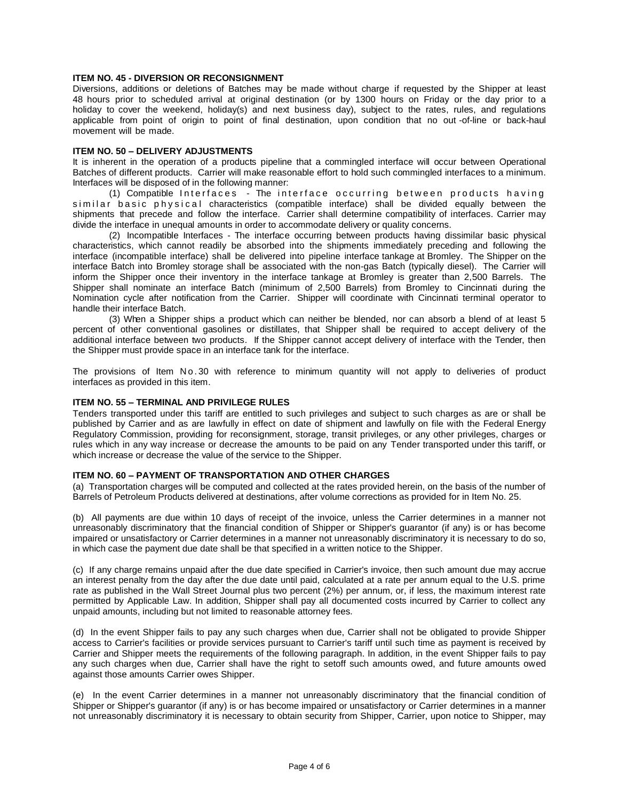#### **ITEM NO. 45 - DIVERSION OR RECONSIGNMENT**

Diversions, additions or deletions of Batches may be made without charge if requested by the Shipper at least 48 hours prior to scheduled arrival at original destination (or by 1300 hours on Friday or the day prior to a holiday to cover the weekend, holiday(s) and next business day), subject to the rates, rules, and regulations applicable from point of origin to point of final destination, upon condition that no out -of-line or back-haul movement will be made.

#### **ITEM NO. 50 – DELIVERY ADJUSTMENTS**

It is inherent in the operation of a products pipeline that a commingled interface will occur between Operational Batches of different products. Carrier will make reasonable effort to hold such commingled interfaces to a minimum. Interfaces will be disposed of in the following manner:

(1) Compatible Interfaces - The interface occurring between products having similar basic physical characteristics (compatible interface) shall be divided equally between the shipments that precede and follow the interface. Carrier shall determine compatibility of interfaces. Carrier may divide the interface in unequal amounts in order to accommodate delivery or quality concerns.

(2) Incompatible Interfaces - The interface occurring between products having dissimilar basic physical characteristics, which cannot readily be absorbed into the shipments immediately preceding and following the interface (incompatible interface) shall be delivered into pipeline interface tankage at Bromley. The Shipper on the interface Batch into Bromley storage shall be associated with the non-gas Batch (typically diesel). The Carrier will inform the Shipper once their inventory in the interface tankage at Bromley is greater than 2,500 Barrels. The Shipper shall nominate an interface Batch (minimum of 2,500 Barrels) from Bromley to Cincinnati during the Nomination cycle after notification from the Carrier. Shipper will coordinate with Cincinnati terminal operator to handle their interface Batch.

(3) When a Shipper ships a product which can neither be blended, nor can absorb a blend of at least 5 percent of other conventional gasolines or distillates, that Shipper shall be required to accept delivery of the additional interface between two products. If the Shipper cannot accept delivery of interface with the Tender, then the Shipper must provide space in an interface tank for the interface.

The provisions of Item No. 30 with reference to minimum quantity will not apply to deliveries of product interfaces as provided in this item.

#### **ITEM NO. 55 – TERMINAL AND PRIVILEGE RULES**

Tenders transported under this tariff are entitled to such privileges and subject to such charges as are or shall be published by Carrier and as are lawfully in effect on date of shipment and lawfully on file with the Federal Energy Regulatory Commission, providing for reconsignment, storage, transit privileges, or any other privileges, charges or rules which in any way increase or decrease the amounts to be paid on any Tender transported under this tariff, or which increase or decrease the value of the service to the Shipper.

#### **ITEM NO. 60 – PAYMENT OF TRANSPORTATION AND OTHER CHARGES**

(a) Transportation charges will be computed and collected at the rates provided herein, on the basis of the number of Barrels of Petroleum Products delivered at destinations, after volume corrections as provided for in Item No. 25.

(b) All payments are due within 10 days of receipt of the invoice, unless the Carrier determines in a manner not unreasonably discriminatory that the financial condition of Shipper or Shipper's guarantor (if any) is or has become impaired or unsatisfactory or Carrier determines in a manner not unreasonably discriminatory it is necessary to do so, in which case the payment due date shall be that specified in a written notice to the Shipper.

(c) If any charge remains unpaid after the due date specified in Carrier's invoice, then such amount due may accrue an interest penalty from the day after the due date until paid, calculated at a rate per annum equal to the U.S. prime rate as published in the Wall Street Journal plus two percent (2%) per annum, or, if less, the maximum interest rate permitted by Applicable Law. In addition, Shipper shall pay all documented costs incurred by Carrier to collect any unpaid amounts, including but not limited to reasonable attorney fees.

(d) In the event Shipper fails to pay any such charges when due, Carrier shall not be obligated to provide Shipper access to Carrier's facilities or provide services pursuant to Carrier's tariff until such time as payment is received by Carrier and Shipper meets the requirements of the following paragraph. In addition, in the event Shipper fails to pay any such charges when due, Carrier shall have the right to setoff such amounts owed, and future amounts owed against those amounts Carrier owes Shipper.

(e) In the event Carrier determines in a manner not unreasonably discriminatory that the financial condition of Shipper or Shipper's guarantor (if any) is or has become impaired or unsatisfactory or Carrier determines in a manner not unreasonably discriminatory it is necessary to obtain security from Shipper, Carrier, upon notice to Shipper, may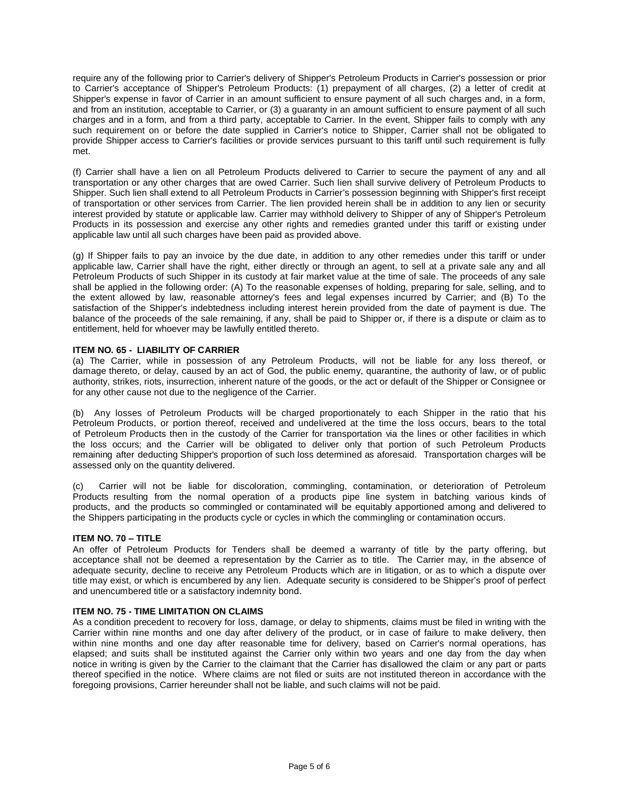require any of the following prior to Carrier's delivery of Shipper's Petroleum Products in Carrier's possession or prior to Carrier's acceptance of Shipper's Petroleum Products: (1) prepayment of all charges, (2) a letter of credit at Shipper's expense in favor of Carrier in an amount sufficient to ensure payment of all such charges and, in a form, and from an institution, acceptable to Carrier, or (3) a guaranty in an amount sufficient to ensure payment of all such charges and in a form, and from a third party, acceptable to Carrier. In the event, Shipper fails to comply with any such requirement on or before the date supplied in Carrier's notice to Shipper, Carrier shall not be obligated to provide Shipper access to Carrier's facilities or provide services pursuant to this tariff until such requirement is fully met.

(f) Carrier shall have a lien on all Petroleum Products delivered to Carrier to secure the payment of any and all transportation or any other charges that are owed Carrier. Such lien shall survive delivery of Petroleum Products to Shipper. Such lien shall extend to all Petroleum Products in Carrier's possession beginning with Shipper's first receipt of transportation or other services from Carrier. The lien provided herein shall be in addition to any lien or security interest provided by statute or applicable law. Carrier may withhold delivery to Shipper of any of Shipper's Petroleum Products in its possession and exercise any other rights and remedies granted under this tariff or existing under applicable law until all such charges have been paid as provided above.

(g) If Shipper fails to pay an invoice by the due date, in addition to any other remedies under this tariff or under applicable law, Carrier shall have the right, either directly or through an agent, to sell at a private sale any and all Petroleum Products of such Shipper in its custody at fair market value at the time of sale. The proceeds of any sale shall be applied in the following order: (A) To the reasonable expenses of holding, preparing for sale, selling, and to the extent allowed by law, reasonable attorney's fees and legal expenses incurred by Carrier; and (B) To the satisfaction of the Shipper's indebtedness including interest herein provided from the date of payment is due. The balance of the proceeds of the sale remaining, if any, shall be paid to Shipper or, if there is a dispute or claim as to entitlement, held for whoever may be lawfully entitled thereto.

#### **ITEM NO. 65 - LIABILITY OF CARRIER**

(a) The Carrier, while in possession of any Petroleum Products, will not be liable for any loss thereof, or damage thereto, or delay, caused by an act of God, the public enemy, quarantine, the authority of law, or of public authority, strikes, riots, insurrection, inherent nature of the goods, or the act or default of the Shipper or Consignee or for any other cause not due to the negligence of the Carrier.

(b) Any losses of Petroleum Products will be charged proportionately to each Shipper in the ratio that his Petroleum Products, or portion thereof, received and undelivered at the time the loss occurs, bears to the total of Petroleum Products then in the custody of the Carrier for transportation via the lines or other facilities in which the loss occurs; and the Carrier will be obligated to deliver only that portion of such Petroleum Products remaining after deducting Shipper's proportion of such loss determined as aforesaid. Transportation charges will be assessed only on the quantity delivered.

(c) Carrier will not be liable for discoloration, commingling, contamination, or deterioration of Petroleum Products resulting from the normal operation of a products pipe line system in batching various kinds of products, and the products so commingled or contaminated will be equitably apportioned among and delivered to the Shippers participating in the products cycle or cycles in which the commingling or contamination occurs.

#### **ITEM NO. 70 – TITLE**

An offer of Petroleum Products for Tenders shall be deemed a warranty of title by the party offering, but acceptance shall not be deemed a representation by the Carrier as to title. The Carrier may, in the absence of adequate security, decline to receive any Petroleum Products which are in litigation, or as to which a dispute over title may exist, or which is encumbered by any lien. Adequate security is considered to be Shipper's proof of perfect and unencumbered title or a satisfactory indemnity bond.

#### **ITEM NO. 75 - TIME LIMITATION ON CLAIMS**

As a condition precedent to recovery for loss, damage, or delay to shipments, claims must be filed in writing with the Carrier within nine months and one day after delivery of the product, or in case of failure to make delivery, then within nine months and one day after reasonable time for delivery, based on Carrier's normal operations, has elapsed; and suits shall be instituted against the Carrier only within two years and one day from the day when notice in writing is given by the Carrier to the claimant that the Carrier has disallowed the claim or any part or parts thereof specified in the notice. Where claims are not filed or suits are not instituted thereon in accordance with the foregoing provisions, Carrier hereunder shall not be liable, and such claims will not be paid.